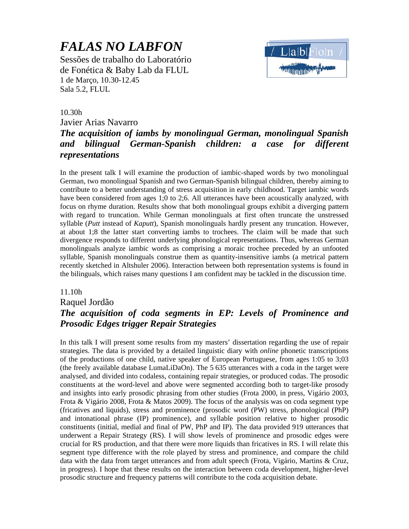# *FALAS NO LABFON*

Sessões de trabalho do Laboratório de Fonética & Baby Lab da FLUL 1 de Março, 10.30-12.45 Sala 5.2, FLUL

#### 10.30h

Javier Arias Navarro

## *The acquisition of iambs by monolingual German, monolingual Spanish and bilingual German-Spanish children: a case for different representations*

In the present talk I will examine the production of iambic-shaped words by two monolingual German, two monolingual Spanish and two German-Spanish bilingual children, thereby aiming to contribute to a better understanding of stress acquisition in early childhood. Target iambic words have been considered from ages 1;0 to 2;6. All utterances have been acoustically analyzed, with focus on rhyme duration. Results show that both monolingual groups exhibit a diverging pattern with regard to truncation. While German monolinguals at first often truncate the unstressed syllable (*Putt* instead of *Kaputt*), Spanish monolinguals hardly present any truncation. However, at about 1;8 the latter start converting iambs to trochees. The claim will be made that such divergence responds to different underlying phonological representations. Thus, whereas German monolinguals analyze iambic words as comprising a moraic trochee preceded by an unfooted syllable, Spanish monolinguals construe them as quantity-insensitive iambs (a metrical pattern recently sketched in Altshuler 2006). Interaction between both representation systems is found in the bilinguals, which raises many questions I am confident may be tackled in the discussion time.

#### 11.10h

#### Raquel Jordão

## *The acquisition of coda segments in EP: Levels of Prominence and Prosodic Edges trigger Repair Strategies*

In this talk I will present some results from my masters' dissertation regarding the use of repair strategies. The data is provided by a detailed linguistic diary with *online* phonetic transcriptions of the productions of one child, native speaker of European Portuguese, from ages 1:05 to 3;03 (the freely available database LumaLiDaOn). The 5 635 utterances with a coda in the target were analysed, and divided into codaless, containing repair strategies, or produced codas. The prosodic constituents at the word-level and above were segmented according both to target-like prosody and insights into early prosodic phrasing from other studies (Frota 2000, in press, Vigário 2003, Frota & Vigário 2008, Frota & Matos 2009). The focus of the analysis was on coda segment type (fricatives and liquids), stress and prominence (prosodic word (PW) stress, phonological (PhP) and intonational phrase (IP) prominence), and syllable position relative to higher prosodic constituents (initial, medial and final of PW, PhP and IP). The data provided 919 utterances that underwent a Repair Strategy (RS). I will show levels of prominence and prosodic edges were crucial for RS production, and that there were more liquids than fricatives in RS. I will relate this segment type difference with the role played by stress and prominence, and compare the child data with the data from target utterances and from adult speech (Frota, Vigário, Martins & Cruz, in progress). I hope that these results on the interaction between coda development, higher-level prosodic structure and frequency patterns will contribute to the coda acquisition debate.